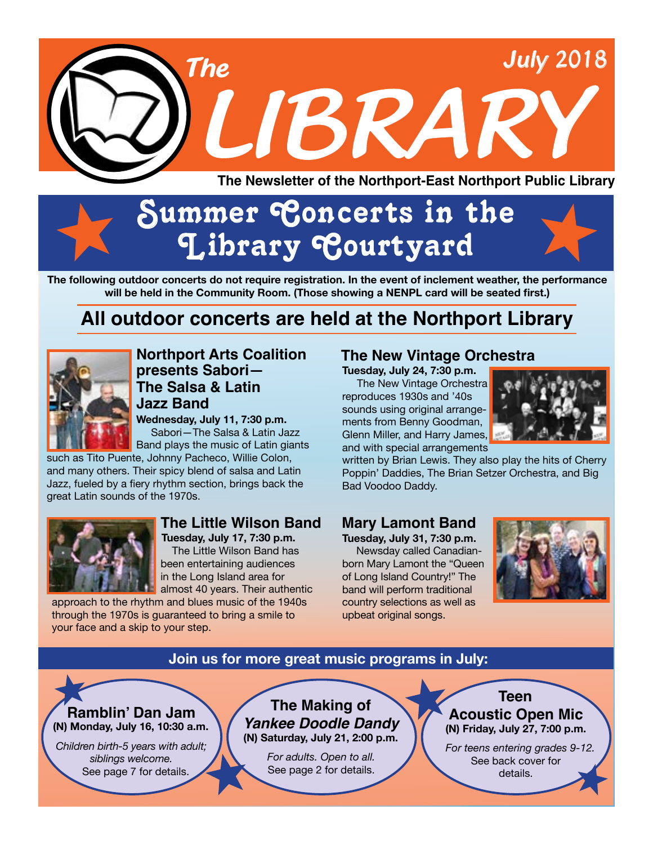

# Summer Concerts in the **Library Courtyard**

**The following outdoor concerts do not require registration. In the event of inclement weather, the performance will be held in the Community Room. (Those showing a NENPL card will be seated first.)**

# **All outdoor concerts are held at the Northport Library**



**The Salsa & Latin Jazz Band Northport Arts Coalition presents Sabori—**

**Wednesday, July 11, 7:30 p.m.** Sabori—The Salsa & Latin Jazz

Band plays the music of Latin giants such as Tito Puente, Johnny Pacheco, Willie Colon,

and many others. Their spicy blend of salsa and Latin Jazz, fueled by a fiery rhythm section, brings back the great Latin sounds of the 1970s.



### **The Little Wilson Band**

 **Tuesday, July 17, 7:30 p.m.** The Little Wilson Band has been entertaining audiences in the Long Island area for almost 40 years. Their authentic

approach to the rhythm and blues music of the 1940s through the 1970s is guaranteed to bring a smile to your face and a skip to your step.

### **The New Vintage Orchestra**

**Tuesday, July 24, 7:30 p.m.** 

 The New Vintage Orchestra reproduces 1930s and '40s sounds using original arrangements from Benny Goodman, Glenn Miller, and Harry James, and with special arrangements



written by Brian Lewis. They also play the hits of Cherry Poppin' Daddies, The Brian Setzer Orchestra, and Big Bad Voodoo Daddy.

### **Mary Lamont Band**

**Tuesday, July 31, 7:30 p.m.** Newsday called Canadianborn Mary Lamont the "Queen of Long Island Country!" The band will perform traditional country selections as well as upbeat original songs.



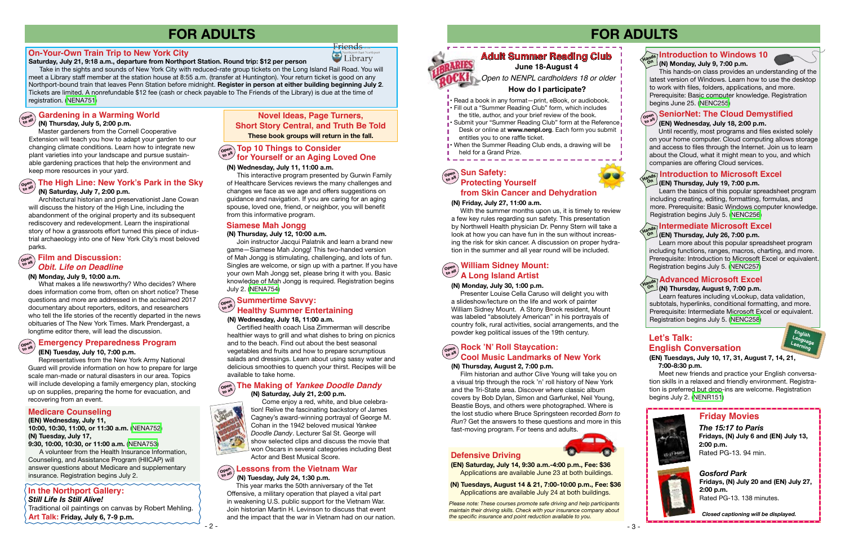



*Please note: These courses promote safe driving and help participants maintain their driving skills. Check with your insurance company about the specific insurance and point reduction available to you.*



Friends Library

#### **(EN) Saturday, July 14, 9:30 a.m.-4:00 p.m., Fee: \$36** Applications are available June 23 at both buildings.

**(N) Tuesdays, August 14 & 21, 7:00-10:00 p.m., Fee: \$36** Applications are available July 24 at both buildings.

# **FOR ADULTS**

- Read a book in any format—print, eBook, or audiobook.
- Fill out a "Summer Reading Club" form, which includes
- the title, author, and your brief review of the book.
- Submit your "Summer Reading Club" form at the Reference Desk or online at www.nenpl.org. Each form you submit
- entitles you to one raffle ticket.
- When the Summer Reading Club ends, a drawing will be
- 
- held for a Grand Prize.



to work with files, folders, applications, and more. Prerequisite: Basic computer knowledge. Registration begins June 25. [\(NENC255\)](https://search.livebrary.com/record%3Dg1040832~S43)

Learn the basics of this popular spreadsheet program including creating, editing, formatting, formulas, and more. Prerequisite: Basic Windows computer knowledge. Registration begins July 5. ([NENC256](https://search.livebrary.com/record%3Dg1005372~S43))

#### **(EN) Thursday, July 19, 7:00 p.m. Introduction to Microsoft Excel Hands On**

### **(EN) Wednesday, July 18, 2:00 p.m.**

 Until recently, most programs and files existed solely on your home computer. Cloud computing allows storage and access to files through the Internet. Join us to learn about the Cloud, what it might mean to you, and which companies are offering Cloud services.

# **Open to all SeniorNet: The Cloud Demystified**

*Open to NENPL cardholders 18 or older*

#### **How do I participate?**

### **June 18-August 4**

### **(N) Friday, July 27, 11:00 a.m.**

#### **Open to all Sun Safety: from Skin Cancer and Dehydration**

 With the summer months upon us, it is timely to review a few key rules regarding sun safety. This presentation by Northwell Health physician Dr. Penny Stern will take a look at how you can have fun in the sun without increasing the risk for skin cancer. A discussion on proper hydration in the summer and all year round will be included.

#### **(N) Monday, July 30, 1:00 p.m.**

 Presenter Louise Cella Caruso will delight you with a slideshow/lecture on the life and work of painter William Sidney Mount. A Stony Brook resident, Mount was labeled "absolutely American" in his portrayals of country folk, rural activities, social arrangements, and the powder keg political issues of the 19th century.

#### **William Sidney Mount: A Long Island Artist Open to all**

#### **Open Protecting Yourself Contract Integrate Server Servers and <b>Protecting Yourself to all lines in the Sky** of Healthcare Services reviews the many challenges and **Contract Contract ing Yourself the all the Sky (N) Saturday, July 7, 2:00 p.m.**

#### **(N) Thursday, August 2, 7:00 p.m.**

 Film historian and author Clive Young will take you on a visual trip through the rock 'n' roll history of New York and the Tri-State area. Discover where classic album covers by Bob Dylan, Simon and Garfunkel, Neil Young, Beastie Boys, and others were photographed. Where is the lost studio where Bruce Springsteen recorded *Born to Run*? Get the answers to these questions and more in this fast-moving program. For teens and adults.

### **Rock 'N' Roll Staycation: Open to all Cool Music Landmarks of New York**

### **(EN) Thursday, July 26, 7:00 p.m.**

Learn more about this popular spreadsheet program including functions, ranges, macros, charting, and more. Prerequisite: Introduction to Microsoft Excel or equivalent. Registration begins July 5. ([NENC257](https://search.livebrary.com/record%3Dg1012227~S43))

#### **Intermediate Microsoft Excel Hands On**

### **(N) Thursday, August 9, 7:00 p.m.**

### **Open** Summertime Savvy:<br> **Vigilia** Hoolthy Summar En: **Healthy Summer Entertaining**

## **Let's Talk: English Conversation**

Learn features including vLookup, data validation, subtotals, hyperlinks, conditional formatting, and more. Prerequisite: Intermediate Microsoft Excel or equivalent. Registration begins July 5. [\(NENC258\)](https://search.livebrary.com/record%3Dg1083595~S43)

# **Advanced Microsoft Excel Hands On**

*Gosford Park* **Fridays, (N) July 20 and (EN) July 27, 2:00 p.m.** Rated PG-13. 138 minutes.

## **Friday Movies**

*The 15:17 to Paris* **Fridays, (N) July 6 and (EN) July 13, 2:00 p.m.** Rated PG-13. 94 min.

*Closed captioning will be displayed.*



#### **(EN) Tuesdays, July 10, 17, 31, August 7, 14, 21, 7:00-8:30 p.m.**

 Meet new friends and practice your English conversation skills in a relaxed and friendly environment. Registration is preferred but drop-ins are welcome. Registration begins July 2. [\(NENR151](https://search.livebrary.com/record%3Dg1083358~S43))

#### **Saturday, July 21, 9:18 a.m., departure from Northport Station. Round trip: \$12 per person**

 Take in the sights and sounds of New York City with reduced-rate group tickets on the Long Island Rail Road. You will meet a Library staff member at the station house at 8:55 a.m. (transfer at Huntington). Your return ticket is good on any Northport-bound train that leaves Penn Station before midnight. **Register in person at either building beginning July 2**. Tickets are limited. A nonrefundable \$12 fee (cash or check payable to The Friends of the Library) is due at the time of registration. ([NENA751](https://search.livebrary.com/record%3Dg1083092~S43))

 Master gardeners from the Cornell Cooperative Extension will teach you how to adapt your garden to our changing climate conditions. Learn how to integrate new plant varieties into your landscape and pursue sustainable gardening practices that help the environment and keep more resources in your yard.

# **In the Northport Gallery:**

 Architectural historian and preservationist Jane Cowan will discuss the history of the High Line, including the abandonment of the original property and its subsequent rediscovery and redevelopment. Learn the inspirational story of how a grassroots effort turned this piece of industrial archaeology into one of New York City's most beloved parks.

#### **(N) Thursday, July 12, 10:00 a.m.**

#### **(N) Thursday, July 5, 2:00 p.m. to all**

#### **Gardening in a Warming World Open**

 Join instructor Jacqui Palatnik and learn a brand new game—Siamese Mah Jongg! This two-handed version of Mah Jongg is stimulating, challenging, and lots of fun. Singles are welcome, or sign up with a partner. If you have your own Mah Jongg set, please bring it with you. Basic knowledge of Mah Jongg is required. Registration begins July 2. ([NENA754](https://search.livebrary.com/record%3Dg1083119~S43))

### **Siamese Mah Jongg**

**(N) Wednesday, July 18, 11:00 a.m.** 

 Certified health coach Lisa Zimmerman will describe healthier ways to grill and what dishes to bring on picnics and to the beach. Find out about the best seasonal vegetables and fruits and how to prepare scrumptious salads and dressings. Learn about using sassy water and delicious smoothies to quench your thirst. Recipes will be available to take home.

# **Open to all The Making of** *Yankee Doodle Dandy*

**(N) Saturday, July 21, 2:00 p.m.** 



 Come enjoy a red, white, and blue celebration! Relive the fascinating backstory of James Cagney's award-winning portrayal of George M. Cohan in the 1942 beloved musical *Yankee Doodle Dandy*. Lecturer Sal St. George will show selected clips and discuss the movie that won Oscars in several categories including Best Actor and Best Musical Score.

# **FOR ADULTS**

Traditional oil paintings on canvas by Robert Mehling. **Art Talk: Friday, July 6, 7-9 p.m.**

#### **(EN) Wednesday, July 11, 10:00, 10:30, 11:00, or 11:30 a.m.** [\(NENA752\)](https://search.livebrary.com/record%3Dg1083163~S43) **(N) Tuesday, July 17,**

**9:30, 10:00, 10:30, or 11:00 a.m.** ([NENA753\)](https://search.livebrary.com/record%3Dg1083164~S43)

A volunteer from the Health Insurance Information,

Counseling, and Assistance Program (HIICAP) will answer questions about Medicare and supplementary insurance. Registration begins July 2.

### **Medicare Counseling**

### **On-Your-Own Train Trip to New York City**

#### **(EN) Tuesday, July 10, 7:00 p.m.**

#### **Open to all Emergency Preparedness Program**

 Representatives from the New York Army National Guard will provide information on how to prepare for large scale man-made or natural disasters in our area. Topics will include developing a family emergency plan, stocking up on supplies, preparing the home for evacuation, and recovering from an event.

#### **(N) Wednesday, July 11, 11:00 a.m.**

 This interactive program presented by Gurwin Family of Healthcare Services reviews the many challenges and changes we face as we age and offers suggestions on guidance and navigation. If you are caring for an aging spouse, loved one, friend, or neighbor, you will benefit from this informative program.

### **Open to all Top 10 Things to Consider for Yourself or an Aging Loved One**

#### **Open to all (N) Tuesday, July 24, 1:30 p.m. Lessons from the Vietnam War**

 This year marks the 50th anniversary of the Tet Offensive, a military operation that played a vital part in weakening U.S. public support for the Vietnam War. Join historian Martin H. Levinson to discuss that event and the impact that the war in Vietnam had on our nation.

*Still Life Is Still Alive!*

**Novel Ideas, Page Turners, Short Story Central, and Truth Be Told These book groups will return in the fall.**

#### **(N) Monday, July 9, 10:00 a.m.**

### **Open to all Film and Discussion:** *Obit. Life on Deadline*

 What makes a life newsworthy? Who decides? Where does information come from, often on short notice? These questions and more are addressed in the acclaimed 2017 documentary about reporters, editors, and researchers who tell the life stories of the recently departed in the news obituaries of The New York Times. Mark Prendergast, a longtime editor there, will lead the discussion.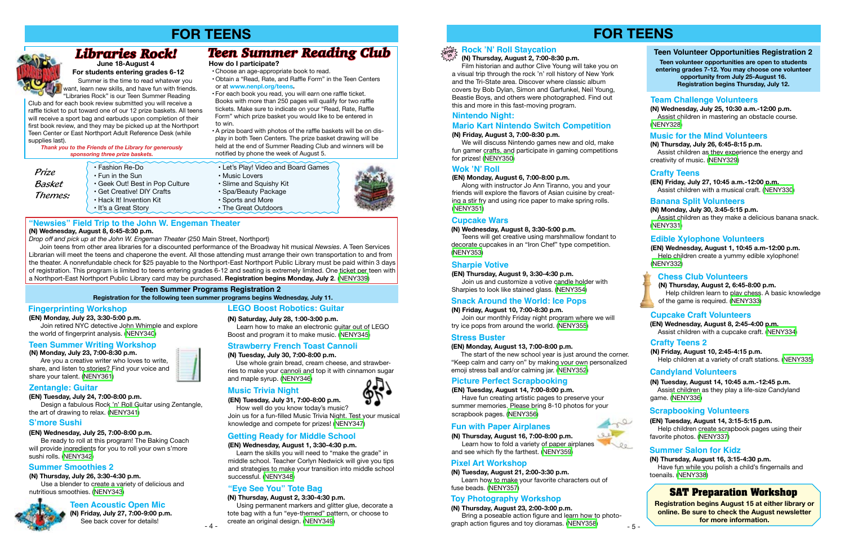# **FOR TEENS**

### **(N) Thursday, August 2, 7:00-8:30 p.m.**

 Film historian and author Clive Young will take you on a visual trip through the rock 'n' roll history of New York and the Tri-State area. Discover where classic album covers by Bob Dylan, Simon and Garfunkel, Neil Young, Beastie Boys, and others were photographed. Find out this and more in this fast-moving program.

#### **(N) Friday, August 3, 7:00-8:30 p.m.**

 Join us and customize a votive candle holder with Sharpies to look like stained glass. [\(NENY354\)](https://search.livebrary.com/record%3Dg1082605~S43)

We will discuss Nintendo games new and old, make fun gamer crafts, and participate in gaming competitions for prizes! ([NENY350](https://search.livebrary.com/record%3Dg1082601~S43))

#### **(EN) Tuesday, August 14, 7:00-8:00 p.m.**

 Have fun creating artistic pages to preserve your summer memories. Please bring 8-10 photos for your scrapbook pages. [\(NENY356\)](https://search.livebrary.com/record%3Dg1082618~S43)

#### **Nintendo Night:**

#### **Picture Perfect Scrapbooking**

#### **Wok 'N' Roll**

#### **(EN) Thursday, August 9, 3:30-4:30 p.m.**



#### **Sharpie Votive**

#### **(N) Wednesday, August 8, 3:30-5:00 p.m.**

 Teens will get creative using marshmallow fondant to decorate cupcakes in an "Iron Chef" type competition. [\(NENY353\)](https://search.livebrary.com/record%3Dg1082604~S43)

#### **Cupcake Wars**

#### **Mario Kart Nintendo Switch Competition**

#### **(EN) Monday, August 6, 7:00-8:00 p.m.**

Along with instructor Jo Ann Tiranno, you and your friends will explore the flavors of Asian cuisine by creating a stir fry and using rice paper to make spring rolls. [\(NENY351\)](https://search.livebrary.com/record%3Dg1082602~S43)

#### **Stress Buster**

#### **(EN) Monday, August 13, 7:00-8:00 p.m.**

The start of the new school year is just around the corner. "Keep calm and carry on" by making your own personalized emoji stress ball and/or calming jar. [\(NENY352\)](https://search.livebrary.com/record%3Dg1082603~S43)

#### **(N) Friday, August 10, 7:00-8:30 p.m.**

 Join our monthly Friday night program where we will try ice pops from around the world. ([NENY355](https://search.livebrary.com/record%3Dg1082609~S43))

#### **Snack Around the World: Ice Pops**

**(N) Thursday, August 16, 7:00-8:00 p.m.** Learn how to fold a variety of paper airplanes and see which fly the farthest. [\(NENY359\)](https://search.livebrary.com/record%3Dg1083123~S43)

### **Fun with Paper Airplanes**

### **(N) Thursday, July 26, 6:45-8:15 p.m.**

 Assist children as they experience the energy and creativity of music. ([NENY329](https://search.livebrary.com/record%3Dg1082275~S43))

### **Music for the Mind Volunteers**

**(EN) Friday, July 27, 10:45 a.m.-12:00 p.m.** Assist children with a musical craft. [\(NENY330\)](https://search.livebrary.com/record%3Dg1082277~S43)

### **Crafty Teens**

**(N) Monday, July 30, 3:45-5:15 p.m.** Assist children as they make a delicious banana snack. ([NENY331](https://search.livebrary.com/record%3Dg1082280~S43))

### **Teen Volunteer Opportunities Registration 2 Teen volunteer opportunities are open to students entering grades 7-12. You may choose one volunteer opportunity from July 25-August 16. Registration begins Thursday, July 12. (N) Wednesday, July 25, 10:30 a.m.-12:00 p.m. Team Challenge Volunteers**

### **Banana Split Volunteers**

**(N) Thursday, August 2, 6:45-8:00 p.m.** Help children learn to play chess. A basic knowledge of the game is required. [\(NENY333\)](https://search.livebrary.com/record%3Dg1082287~S43)

### **Chess Club Volunteers**

#### **(EN) Wednesday, August 1, 10:45 a.m-12:00 p.m.** Help children create a yummy edible xylophone! [\(NENY332\)](https://search.livebrary.com/record%3Dg1082284~S43)



### **Edible Xylophone Volunteers**

**(EN) Wednesday, August 8, 2:45-4:00 p.m.** Assist children with a cupcake craft. [\(NENY334\)](https://search.livebrary.com/record%3Dg1082402~S43)

### **Cupcake Craft Volunteers**

 Assist children in mastering an obstacle course. ([NENY328](https://search.livebrary.com/record%3Dg1082271~S43))

**(N) Tuesday, August 21, 2:00-3:30 p.m.**

 Learn how to make your favorite characters out of fuse beads. [\(NENY357\)](https://search.livebrary.com/record%3Dg1082630~S43)

#### **Pixel Art Workshop**

#### **(N) Thursday, August 23, 2:00-3:00 p.m.**

 Bring a poseable action figure and learn how to photograph action figures and toy dioramas. [\(NENY358\)](https://search.livebrary.com/record%3Dg1082632~S43)

#### **Toy Photography Workshop**

### **(N) Friday, August 10, 2:45-4:15 p.m.**

Help children at a variety of craft stations. ([NENY335](https://search.livebrary.com/record%3Dg1082405~S43))

### **Crafty Teens 2**

**(N) Tuesday, August 14, 10:45 a.m.-12:45 p.m.** Assist children as they play a life-size Candyland game. [\(NENY336\)](https://search.livebrary.com/record%3Dg1082410~S43)

### **Candyland Volunteers**

**(EN) Tuesday, August 14, 3:15-5:15 p.m.** Help children create scrapbook pages using their favorite photos. ([NENY337](https://search.livebrary.com/record%3Dg1082617~S43))

### **Scrapbooking Volunteers**

#### **(N) Thursday, August 16, 3:15-4:30 p.m.**

 Have fun while you polish a child's fingernails and toenails. ([NENY338](https://search.livebrary.com/record%3Dg1082629~S43))

### **Summer Salon for Kidz**

**Registration begins August 15 at either library or online. Be sure to check the August newsletter for more information.**

## **SAT Preparation Workshop**

# **FOR TEENS**

*Prize Basket Themes:*

*Thank you to the Friends of the Library for generously sponsoring three prize baskets.*

**June 18-August 4**  *Libraries Rock!*

• Choose an age-appropriate book to read.

 • Obtain a "Read, Rate, and Raffle Form" in the Teen Centers or at **www.nenpl.org/teens.**

 • For each book you read, you will earn one raffle ticket. Books with more than 250 pages will qualify for two raffle tickets. Make sure to indicate on your "Read, Rate, Raffle Form" which prize basket you would like to be entered in to win.

 • A prize board with photos of the raffle baskets will be on dis play in both Teen Centers. The prize basket drawing will be held at the end of Summer Reading Club and winners will be notified by phone the week of August 5.

• Fashion Re-Do • Let's Play! Video and Board Games<br>• Fun in the Sun • Music Lovers

- Fun in the Sun  **The Sun Sunding Sulfisher Sunding Sulfisher Geek Out! Best in Pop Culture Slime and Squishy Kit Slime and Squishy Kit Slime and Squishy Kit Slime and Squishy Kit Slime and Squishy Ki** 
	-
	- Spa/Beauty Package<br>• Sports and More
	-
- It's a Great Story  **The Great Outdoors**

**How do I participate?**

Summer is the time to read whatever you want, learn new skills, and have fun with friends. "Libraries Rock" is our Teen Summer Reading

Club and for each book review submitted you will receive a raffle ticket to put toward one of our 12 prize baskets. All teens will receive a sport bag and earbuds upon completion of their first book review, and they may be picked up at the Northport Teen Center or East Northport Adult Reference Desk (while

• Geek Out! Best in Pop Culture<br>• Get Creative! DIY Crafts

supplies last).

# *Teen Summer Reading Club*

**For students entering grades 6-12**

#### **Teen Summer Programs Registration 2 Registration for the following teen summer programs begins Wednesday, July 11.**

#### **(EN) Monday, July 23, 3:30-5:00 p.m.**

 Join retired NYC detective John Whimple and explore the world of fingerprint analysis. [\(NENY340](https://search.livebrary.com/record%3Dg1082564~S43))

#### **(EN) Tuesday, July 24, 7:00-8:00 p.m.**

Design a fabulous Rock 'n' Roll Guitar using Zentangle, the art of drawing to relax. [\(NENY341\)](https://search.livebrary.com/record%3Dg1082565~S43)

#### **(EN) Wednesday, July 25, 7:00-8:00 p.m.**

 Be ready to roll at this program! The Baking Coach will provide ingredients for you to roll your own s'more sushi rolls. ([NENY342](https://search.livebrary.com/record%3Dg1082571~S43))

#### **(N) Thursday, July 26, 3:30-4:30 p.m.**

 Use a blender to create a variety of delicious and nutritious smoothies. [\(NENY343\)](https://search.livebrary.com/record%3Dg1082575~S43)

**(EN) Tuesday, July 31, 7:00-8:00 p.m.**

How well do you know today's music?

Join us for a fun-filled Music Trivia Night. Test your musical knowledge and compete for prizes! ([NENY347](https://search.livebrary.com/record%3Dg1082583~S43))

**(N) Thursday, August 2, 3:30-4:30 p.m.**

 Using permanent markers and glitter glue, decorate a tote bag with a fun "eye-themed" pattern, or choose to create an original design. [\(NENY349\)](https://search.livebrary.com/record%3Dg1082586~S43)

#### **Fingerprinting Workshop**

### **Zentangle: Guitar**

#### **S'more Sushi**

### **Summer Smoothies 2**

### **Music Trivia Night**

#### **"Eye See You" Tote Bag**

**(N) Tuesday, July 30, 7:00-8:00 p.m.**

Use whole grain bread, cream cheese, and strawber-



and maple syrup. ([NENY346](https://search.livebrary.com/record%3Dg1082582~S43))

#### **(EN) Wednesday, August 1, 3:30-4:30 p.m.**

 Learn the skills you will need to "make the grade" in middle school. Teacher Corlyn Nedwick will give you tips and strategies to make your transition into middle school successful. [\(NENY348\)](https://search.livebrary.com/record%3Dg1082585~S43)

#### **Getting Ready for Middle School**



 $\cdot$  Hack It! Invention Kit

*Drop off and pick up at the John W. Engeman Theater* (250 Main Street, Northport)







 Join teens from other area libraries for a discounted performance of the Broadway hit musical *Newsies*. A Teen Services Librarian will meet the teens and chaperone the event. All those attending must arrange their own transportation to and from the theater. A nonrefundable check for \$25 payable to the Northport-East Northport Public Library must be paid within 3 days of registration. This program is limited to teens entering grades 6-12 and seating is extremely limited. One ticket per teen with a Northport-East Northport Public Library card may be purchased. **Registration begins Monday, July 2**. [\(NENY339](https://search.livebrary.com/record%3Dg1082640~S43))

**(N) Monday, July 23, 7:00-8:30 p.m.** Are you a creative writer who loves to write,

share, and listen to stories? Find your voice and share your talent. ([NENY361](https://search.livebrary.com/record%3Dg1082637~S43))



#### **Teen Summer Writing Workshop**

#### **(N) Friday, July 27, 7:00-9:00 p.m. Teen Acoustic Open Mic**

See back cover for details!





**(N) Saturday, July 28, 1:00-3:00 p.m.**

**LEGO Boost Robotics: Guitar**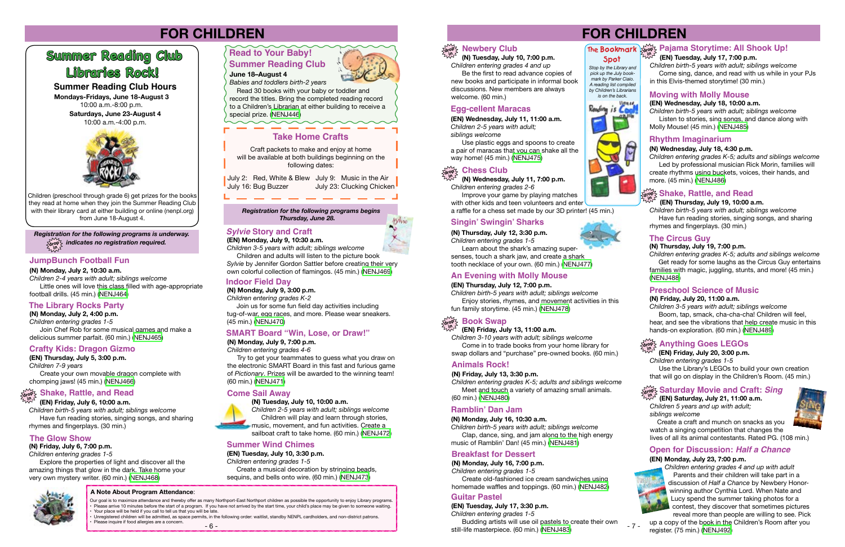*Registration for the following programs is underway.* **drop in** *indicates no registration required.*

*Registration for the following programs begins Thursday, June 28.* 

**June 18–August 4**

 Read 30 books with your baby or toddler and record the titles. Bring the completed reading record to a Children's Librarian at either building to receive a special prize. ([NENJ446\)](https://search.livebrary.com/record%3Dg1082266~S43)

**Mondays-Fridays, June 18-August 3** 10:00 a.m.-8:00 p.m. **Saturdays, June 23-August 4** 10:00 a.m.-4:00 p.m.



#### **Summer Reading Club Hours**

Craft packets to make and enjoy at home will be available at both buildings beginning on the following dates:

**July 2: Red, White & Blew July 9: Music in the Air** July 16: Bug Buzzer July 23: Clucking Chicken





# **FOR CHILDREN**

Children (preschool through grade 6) get prizes for the books they read at home when they join the Summer Reading Club with their library card at either building or online (nenpl.org) from June 18-August 4.

### **Take Home Crafts**

#### **JumpBunch Football Fun**

**(N) Monday, July 2, 10:30 a.m.** *Children 2-4 years with adult; siblings welcome* Little ones will love this class filled with age-appropriate football drills. (45 min.) ([NENJ464\)](https://search.livebrary.com/record%3Dg1081399~S43)

#### **The Library Rocks Party**

**(N) Monday, July 2, 4:00 p.m.** *Children entering grades 1-5* Join Chef Rob for some musical games and make a delicious summer parfait. (60 min.) ([NENJ465](https://search.livebrary.com/record%3Dg1081400~S43))

#### **Crafty Kids: Dragon Gizmo**

**(EN) Thursday, July 5, 3:00 p.m.** *Children 7-9 years* Create your own movable dragon complete with chomping jaws! (45 min.) [\(NENJ466\)](https://search.livebrary.com/record%3Dg1081613~S43)

 **(EN) Friday, July 6, 10:00 a.m.**

# **drop in Shake, Rattle, and Read**

*Children birth-5 years with adult; siblings welcome* Have fun reading stories, singing songs, and sharing rhymes and fingerplays. (30 min.)

### **(N) Friday, July 6, 7:00 p.m.**

• Unregistered children will be admitted, as space permits, in the following order: waitlist, standby NENPL cardholders, and non-district patrons. Please inquire if food allergies are a concern.

*Children entering grades 1-5*

 Explore the properties of light and discover all the amazing things that glow in the dark. Take home your very own mystery writer. (60 min.) ([NENJ468](https://search.livebrary.com/record%3Dg1081404~S43))



### **The Glow Show**

# **Libraries Rock! Summer Reading Club**

### **SMART Board "Win, Lose, or Draw!"**

**(N) Monday, July 9, 7:00 p.m.**

#### *Children entering grades 4-6*

 Try to get your teammates to guess what you draw on the electronic SMART Board in this fast and furious game of *Pictionary*. Prizes will be awarded to the winning team! (60 min.) ([NENJ471\)](https://search.livebrary.com/record%3Dg1081411~S43)

**(EN) Monday, July 9, 10:30 a.m.**

*Children 3-5 years with adult; siblings welcome*

 Children and adults will listen to the picture book *Sylvie* by Jennifer Gordon Sattler before creating their very own colorful collection of flamingos. (45 min.) ([NENJ469\)](https://search.livebrary.com/record%3Dg1081617~S43)

### *Sylvie* **Story and Craft**

**(N) Monday, July 9, 3:00 p.m.**

*Children entering grades K-2*

 Join us for some fun field day activities including tug-of-war, egg races, and more. Please wear sneakers. (45 min.) [\(NENJ470](https://search.livebrary.com/record%3Dg1081410~S43))

#### **Indoor Field Day**

**(N) Tuesday, July 10, 10:00 a.m.** *Children 2-5 years with adult; siblings welcome* Children will play and learn through stories, music, movement, and fun activities. Create a sailboat craft to take home. (60 min.) ([NENJ472](https://search.livebrary.com/record%3Dg1081434~S43))

#### **Come Sail Away**



**(EN) Tuesday, July 10, 3:30 p.m.** *Children entering grades 1-5* Create a musical decoration by stringing beads,

sequins, and bells onto wire. (60 min.) ([NENJ473](https://search.livebrary.com/record%3Dg1081619~S43))

### **Summer Wind Chimes**

Our goal is to maximize attendance and thereby offer as many Northport-East Northport children as possible the opportunity to enjoy Library programs. • Please arrive 10 minutes before the start of a program. If you have not arrived by the start time, your child's place may be given to someone waiting. • Your place will be held if you call to tell us that you will be late.

#### **A Note About Program Attendance**:

# **FOR CHILDREN**



#### **The Bookmark Spot**

*Stop by the Library and pick up the July bookmark by Parker Ciaio. A reading list compiled by Children's Librarians is on the back.* Be the first to read advance copies of new books and participate in informal book

 **(N) Tuesday, July 10, 7:00 p.m.** *Children entering grades 4 and up*

discussions. New members are always

welcome. (60 min.)

**(EN) Wednesday, July 11, 11:00 a.m.** *Children 2-5 years with adult; siblings welcome*

 Use plastic eggs and spoons to create a pair of maracas that you can shake all the way home! (45 min.) [\(NENJ475](https://search.livebrary.com/record%3Dg1081620~S43))

### **Egg-cellent Maracas**

are **Prop** in a Mewbery Club

 **(N) Wednesday, July 11, 7:00 p.m.** *Children entering grades 2-6*



 Improve your game by playing matches with other kids and teen volunteers and enter a raffle for a chess set made by our 3D printer! (45 min.)

**(N) Thursday, July 12, 3:30 p.m.** *Children entering grades 1-5*

 Learn about the shark's amazing supersenses, touch a shark jaw, and create a shark tooth necklace of your own. (60 min.) ([NENJ477\)](https://search.livebrary.com/record%3Dg1081437~S43)

### **Singin' Swingin' Sharks**



 **(EN) Friday, July 13, 11:00 a.m.** *Children 3-10 years with adult; siblings welcome* Come in to trade books from your home library for swap dollars and "purchase" pre-owned books. (60 min.)

#### **(EN) Thursday, July 12, 7:00 p.m.**

*Children birth-5 years with adult; siblings welcome* Enjoy stories, rhymes, and movement activities in this fun family storytime. (45 min.) [\(NENJ478\)](https://search.livebrary.com/record%3Dg1081621~S43)

### **An Evening with Molly Mouse**

#### **(N) Friday, July 13, 3:30 p.m.**

*Children entering grades K-5; adults and siblings welcome* Meet and touch a variety of amazing small animals. (60 min.) ([NENJ480\)](https://search.livebrary.com/record%3Dg1081438~S43)

#### **Animals Rock!**

#### **(N) Monday, July 16, 10:30 a.m.**

*Children birth-5 years with adult; siblings welcome* Clap, dance, sing, and jam along to the high energy

music of Ramblin' Dan! (45 min.) [\(NENJ481](https://search.livebrary.com/record%3Dg1081439~S43))

### **Ramblin' Dan Jam**

#### **(N) Monday, July 16, 7:00 p.m.**

*Children entering grades 1-5*

 Create old-fashioned ice cream sandwiches using homemade waffles and toppings. (60 min.) ([NENJ482](https://search.livebrary.com/record%3Dg1081440~S43))

- 6 - - 7 - still-life masterpiece. (60 min.) [\(NENJ483](https://search.livebrary.com/record%3Dg1081626~S43)) Budding artists will use oil pastels to create their own



*Aylyne* 

#### **Breakfast for Dessert**

#### **drop in Pajama Storytime: All Shook Up! (EN) Tuesday, July 17, 7:00 p.m.**

*Children birth-5 years with adult; siblings welcome* Come sing, dance, and read with us while in your PJs in this Elvis-themed storytime! (30 min.)

**(EN) Wednesday, July 18, 10:00 a.m.**

*Children birth-5 years with adult; siblings welcome* Listen to stories, sing songs, and dance along with Molly Mouse! (45 min.) ([NENJ485\)](https://search.livebrary.com/record%3Dg1081631~S43)

### **Moving with Molly Mouse**

#### **(N) Wednesday, July 18, 4:30 p.m.**

*Children entering grades K-5; adults and siblings welcome* Led by professional musician Rick Morin, families will create rhythms using buckets, voices, their hands, and more. (45 min.) ([NENJ486](https://search.livebrary.com/record%3Dg1081441~S43))

## $\frac{\partial \mathbf{p}}{\partial \mathbf{p}}$  Shake, Rattle, and Read

### **Rhythm Imaginarium**

#### **(EN) Thursday, July 19, 10:00 a.m.**

*Children birth-5 years with adult; siblings welcome* Have fun reading stories, singing songs, and sharing rhymes and fingerplays. (30 min.)

#### **(N) Thursday, July 19, 7:00 p.m.**

*Children entering grades K-5; adults and siblings welcome* Get ready for some laughs as the Circus Guy entertains families with magic, juggling, stunts, and more! (45 min.) [\(NENJ488\)](https://search.livebrary.com/record%3Dg1081442~S43)

### **The Circus Guy**

#### **(N) Friday, July 20, 11:00 a.m.**

*Children 3-5 years with adult; siblings welcome* Boom, tap, smack, cha-cha-cha! Children will feel, hear, and see the vibrations that help create music in this hands-on exploration. (60 min.) [\(NENJ489](https://search.livebrary.com/record%3Dg1081443~S43))

### $\frac{1}{\alpha! \alpha!}$  Anything Goes LEGOs

### **Preschool Science of Music**

#### **in (EN) Friday, July 20, 3:00 p.m.**

*Children entering grades 1-5*

 Use the Library's LEGOs to build your own creation that will go on display in the Children's Room. (45 min.)

 **(EN) Saturday, July 21, 11:00 a.m.** *Children 5 years and up with adult; siblings welcome* 



# **drop in Saturday Movie and Craft:** *Sing*

 Create a craft and munch on snacks as you watch a singing competition that changes the lives of all its animal contestants. Rated PG. (108 min.)

#### **(EN) Tuesday, July 17, 3:30 p.m.**

*Children entering grades 1-5*

### **Guitar Pastel**

#### **(EN) Monday, July 23, 7:00 p.m.**



*Children entering grades 4 and up with adult* Parents and their children will take part in a discussion of *Half a Chance* by Newbery Honorwinning author Cynthia Lord. When Nate and Lucy spend the summer taking photos for a contest, they discover that sometimes pictures reveal more than people are willing to see. Pick up a copy of the book in the Children's Room after you

#### register. (75 min.) [\(NENJ492\)](https://search.livebrary.com/record%3Dg1081636~S43)

## **Open for Discussion:** *Half a Chance*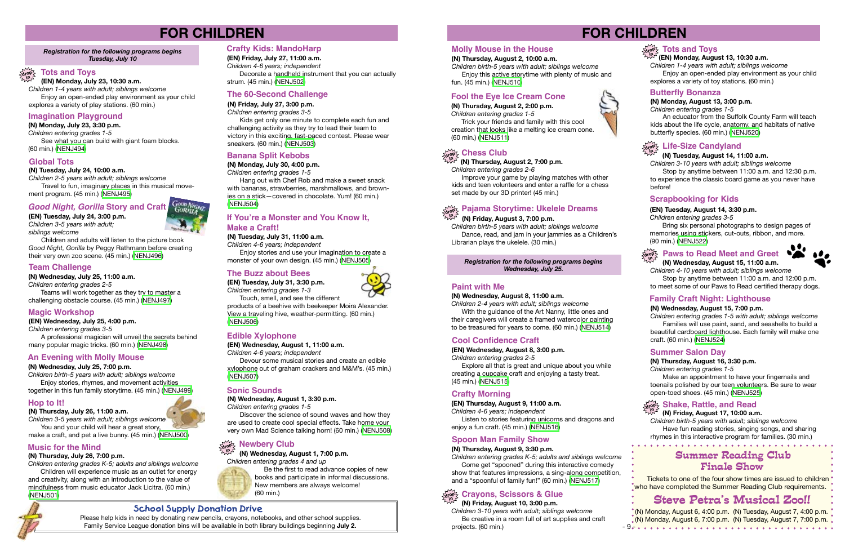# **FOR CHILDREN**

#### *Registration for the following programs begins Tuesday, July 10*

### **(EN) Monday, July 23, 10:30 a.m.**



*Children 1-4 years with adult; siblings welcome* Enjoy an open-ended play environment as your child explores a variety of play stations. (60 min.)

**(N) Monday, July 23, 3:30 p.m.** *Children entering grades 1-5* See what you can build with giant foam blocks. (60 min.) ([NENJ494\)](https://search.livebrary.com/record%3Dg1081444~S43)

### **Imagination Playground**

**(N) Tuesday, July 24, 10:00 a.m.**

*Children 2-5 years with adult; siblings welcome* Travel to fun, imaginary places in this musical movement program. (45 min.) [\(NENJ495\)](https://search.livebrary.com/record%3Dg1081445~S43)

#### **Global Tots**

**(EN) Tuesday, July 24, 3:00 p.m.** *Children 3-5 years with adult; siblings welcome*

Children and adults will listen to the picture book *Good Night, Gorilla* by Peggy Rathmann before creating their very own zoo scene. (45 min.) ([NENJ496](https://search.livebrary.com/record%3Dg1081644~S43))

### *Good Night, Gorilla* **Story and Craft**

**(N) Wednesday, July 25, 11:00 a.m.** *Children entering grades 2-5*

Teams will work together as they try to master a challenging obstacle course. (45 min.) ([NENJ497\)](https://search.livebrary.com/record%3Dg1081446~S43)

### **Team Challenge**

**(EN) Wednesday, July 25, 4:00 p.m.**

*Children entering grades 3-5*

A professional magician will unveil the secrets behind many popular magic tricks. (60 min.) ([NENJ498\)](https://search.livebrary.com/record%3Dg1081651~S43)

### **Magic Workshop**

**(N) Wednesday, July 25, 7:00 p.m.**

*Children birth-5 years with adult; siblings welcome* Enjoy stories, rhymes, and movement activities together in this fun family storytime. (45 min.) ([NENJ499\)](https://search.livebrary.com/record%3Dg1081447~S43)

### **An Evening with Molly Mouse**

**(EN) Friday, July 27, 11:00 a.m.** *Children 4-6 years; independent*

Decorate a handheld instrument that you can actually strum. (45 min.) ([NENJ502](https://search.livebrary.com/record%3Dg1081652~S43))

### **Crafty Kids: MandoHarp**

#### **(N) Friday, July 27, 3:00 p.m.**

*Children entering grades 3-5*

Kids get only one minute to complete each fun and challenging activity as they try to lead their team to victory in this exciting, fast-paced contest. Please wear sneakers. (60 min.) [\(NENJ503\)](https://search.livebrary.com/record%3Dg1081450~S43)

> Be the first to read advance copies of new books and participate in informal discussions. New members are always welcome! (60 min.)

### **The 60-Second Challenge**

#### **(N) Thursday, July 26, 11:00 a.m.**

*Children 3-5 years with adult; siblings welcome* You and your child will hear a great story, make a craft, and pet a live bunny. (45 min.) ([NENJ500](https://search.livebrary.com/record%3Dg1081448~S43))

### **Hop to It!**

#### **(N) Thursday, July 26, 7:00 p.m.**

*Children entering grades K-5; adults and siblings welcome* 

Improve your game by playing matches with other kids and teen volunteers and enter a raffle for a chess set made by our 3D printer! (45 min.)

Children will experience music as an outlet for energy and creativity, along with an introduction to the value of mindfulness from music educator Jack Licitra. (60 min.) [\(NENJ501\)](https://search.livebrary.com/record%3Dg1081449~S43)

#### $\lim_{\Delta t \geq 0} \frac{1}{2}$  Chess Club **in**

### **Music for the Mind**

#### **(N) Monday, July 30, 4:00 p.m.**

*Children entering grades 1-5* Hang out with Chef Rob and make a sweet snack with bananas, strawberries, marshmallows, and brownies on a stick—covered in chocolate. Yum! (60 min.) ([NENJ504](https://search.livebrary.com/record%3Dg1081452~S43))

### **Banana Split Kebobs**

#### **(N) Tuesday, July 31, 11:00 a.m.**

*Children 4-6 years; independent*

With the guidance of the Art Nanny, little ones and their caregivers will create a framed watercolor painting to be treasured for years to come. (60 min.) [\(NENJ514](https://search.livebrary.com/record%3Dg1081471~S43))

Enjoy stories and use your imagination to create a monster of your own design. (45 min.) ([NENJ505\)](https://search.livebrary.com/record%3Dg1081453~S43)

### **If You're a Monster and You Know It, Make a Craft!**

Explore all that is great and unique about you while creating a cupcake craft and enjoying a tasty treat. (45 min.) [\(NENJ515\)](https://search.livebrary.com/record%3Dg1081661~S43)

**(EN) Tuesday, July 31, 3:30 p.m.** *Children entering grades 1-3*

Touch, smell, and see the different products of a beehive with beekeeper Moira Alexander. View a traveling hive, weather-permitting. (60 min.)

([NENJ506](https://search.livebrary.com/record%3Dg1081655~S43))

### **The Buzz about Bees**

#### **(EN) Wednesday, August 1, 11:00 a.m.**

*Children 4-6 years; independent*

Devour some musical stories and create an edible xylophone out of graham crackers and M&M's. (45 min.) ([NENJ507](https://search.livebrary.com/record%3Dg1081656~S43))

### **Edible Xylophone**

**(N) Wednesday, August 1, 3:30 p.m.**

*Children entering grades 1-5*

Discover the science of sound waves and how they are used to create cool special effects. Take home your very own Mad Science talking horn! (60 min.) [\(NENJ508](https://search.livebrary.com/record%3Dg1081656~S43))

### **Newbery Club**

### **Sonic Sounds**

### **(N) Wednesday, August 1, 7:00 p.m.**

*Children entering grades 4 and up*



### **School Supply Donation Drive**

Please help kids in need by donating new pencils, crayons, notebooks, and other school supplies. Family Service League donation bins will be available in both library buildings beginning **July 2.**

# **FOR CHILDREN**

*Registration for the following programs begins Wednesday, July 25.* 

**(N) Thursday, August 2, 2:00 p.m.** *Children entering grades 1-5*

 Trick your friends and family with this cool creation that looks like a melting ice cream cone. (60 min.) [\(NENJ511](https://search.livebrary.com/record%3Dg1081460~S43))

### **Fool the Eye Ice Cream Cone**

### **(N) Thursday, August 2, 7:00 p.m.**

*Children entering grades 2-6*

#### **(N) Friday, August 3, 7:00 p.m.**

*Children birth-5 years with adult; siblings welcome* Dance, read, and jam in your jammies as a Children's Librarian plays the ukelele. (30 min.)

# **Pajama Storytime: Ukelele Dreams drop in**

#### **(N) Thursday, August 2, 10:00 a.m.**

*Children birth-5 years with adult; siblings welcome* Enjoy this active storytime with plenty of music and fun. (45 min.) [\(NENJ510\)](https://search.livebrary.com/record%3Dg1081459~S43)

### **Molly Mouse in the House**

# **Steve Petra's Musical Zoo!!**

### **Summer Reading Club Finale Show**

Tickets to one of the four show times are issued to children **\*who have completed the Summer Reading Club requirements.** 

#### **(N) Wednesday, August 8, 11:00 a.m.**

*Children 2-4 years with adult; siblings welcome*

### **Paint with Me**

#### **(EN) Wednesday, August 8, 3:00 p.m.**

*Children entering grades 2-5*

### **Cool Confidence Craft**

**(EN) Thursday, August 9, 11:00 a.m.**

*Children 4-6 years; independent* Listen to stories featuring unicorns and dragons and enjoy a fun craft. (45 min.) ([NENJ516](https://search.livebrary.com/record%3Dg1081662~S43))

### **Crafty Morning**

#### **(N) Thursday, August 9, 3:30 p.m.**

*Children entering grades K-5; adults and siblings welcome* Come get "spooned" during this interactive comedy show that features impressions, a sing-along competition, and a "spoonful of family fun!" (60 min.) [\(NENJ517\)](https://search.livebrary.com/record%3Dg1081472~S43)

### **Spoon Man Family Show**

### **(N) Friday, August 10, 3:00 p.m.**



*Children 3-10 years with adult; siblings welcome* Be creative in a room full of art supplies and craft projects. (60 min.)











# **drop in (EN) Monday, August 13, 10:30 a.m.**

*Children 1-4 years with adult; siblings welcome* Enjoy an open-ended play environment as your child explores a variety of toy stations. (60 min.)

### **Tots and Toys**

#### **(N) Monday, August 13, 3:00 p.m.**

*Children entering grades 1-5*

(N) Monday, August 6, 4:00 p.m. (N) Tuesday, August 7, 4:00 p.m. (N) Monday, August 6, 7:00 p.m. (N) Tuesday, August 7, 7:00 p.m. - 9 -

An educator from the Suffolk County Farm will teach kids about the life cycle, anatomy, and habitats of native butterfly species. (60 min.) ([NENJ520](https://search.livebrary.com/record%3Dg1081474~S43))

## $\frac{\partial \mathbf{p}}{\partial \mathbf{p}}$  Life-Size Candyland

#### **Butterfly Bonanza**

### **(N) Tuesday, August 14, 11:00 a.m.**

*Children 3-10 years with adult; siblings welcome*

Stop by anytime between 11:00 a.m. and 12:30 p.m. to experience the classic board game as you never have before!

#### **(EN) Tuesday, August 14, 3:30 p.m.**

*Children entering grades 3-5*

Bring six personal photographs to design pages of memories using stickers, cut-outs, ribbon, and more. (90 min.) ([NENJ522](https://search.livebrary.com/record%3Dg1081668~S43))

### **Scrapbooking for Kids**

 **(N) Wednesday, August 15, 11:00 a.m.** *Children 4-10 years with adult; siblings welcome*

#### **drop in Paws to Read Meet and Greet**



Stop by anytime between 11:00 a.m. and 12:00 p.m. to meet some of our Paws to Read certified therapy dogs.

#### **(N) Wednesday, August 15, 7:00 p.m.**

*Children entering grades 1-5 with adult; siblings welcome*  Families will use paint, sand, and seashells to build a beautiful cardboard lighthouse. Each family will make one craft. (60 min.) ([NENJ524](https://search.livebrary.com/record%3Dg1081478~S43))

### **Family Craft Night: Lighthouse**

#### **(N) Thursday, August 16, 3:30 p.m.**

*Children entering grades 1-5*

Make an appointment to have your fingernails and toenails polished by our teen volunteers. Be sure to wear open-toed shoes. (45 min.) ([NENJ525](https://search.livebrary.com/record%3Dg1081479~S43))

#### **Summer Salon Day**

*Children birth-5 years with adult; siblings welcome* Have fun reading stories, singing songs, and sharing rhymes in this interactive program for families. (30 min.)

### **Shake, Rattle, and Read**

# <sub>drop</sub> > Snake, Ratue, and Read<br><sup>ಸಭಿ∡</sup> (N) Friday, August 17, 10:00 a.m.